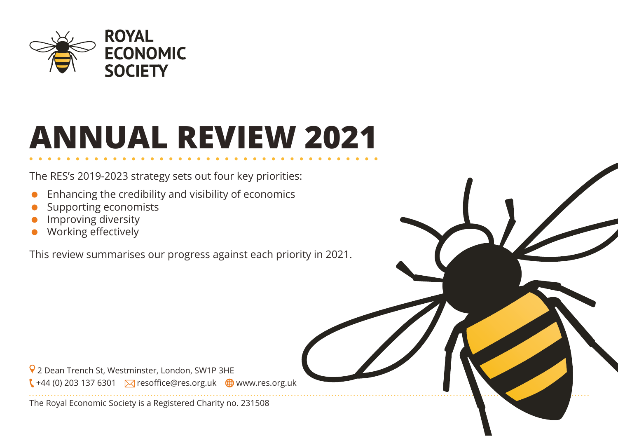

# **ANNUAL REVIEW 2021**

The RES's 2019-2023 strategy sets out four key priorities:

- Enhancing the credibility and visibility of economics
- Supporting economists
- Improving diversity
- Working effectively

This review summarises our progress against each priority in 2021.

 2 Dean Trench St, Westminster, London, SW1P 3HE  $\left( \frac{1}{444} \right)$  203 137 6301  $\sqrt{ }$  resoffice@res.org.uk  $\oplus$  www.res.org.uk

The Royal Economic Society is a Registered Charity no. 231508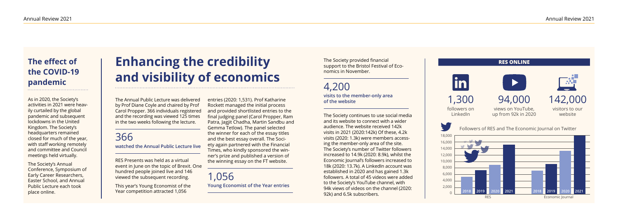## **Enhancing the credibility and visibility of economics**

The Annual Public Lecture was delivered by Prof Diane Coyle and chaired by Prof Carol Propper. 366 individuals registered and the recording was viewed 125 times in the two weeks following the lecture.

### 366

**watched the Annual Public Lecture live**

RES Presents was held as a virtual event in June on the topic of Brexit. One hundred people joined live and 146 viewed the subsequent recording.

This year's Young Economist of the Year competition attracted 1,056

entries (2020: 1,531). Prof Katharine Rockett managed the initial process and provided shortlisted entries to the final judging panel (Carol Propper, Ram Patra, Jagjit Chadha, Martin Sandbu and Gemma Tetlow). The panel selected the winner for each of the essay titles and the best essay overall. The Society again partnered with the Financial Times, who kindly sponsored the winner's prize and published a version of the winning essay on the FT website.

#### 1,056

**Young Economist of the Year entries**

The Society provided financial support to the Bristol Festival of Economics in November.

4,200 **visits to the member-only area of the website**

The Society continues to use social media and its website to connect with a wider audience. The website received 142k visits in 2021 (2020:142k) Of these, 4.2k visits (2020: 1.3k) were members accessing the member-only area of the site. The Society's number of Twitter followers increased to 14.9k (2020: 8.9k), whilst the Economic Journal's followers increased to 18k (2020: 13.7k). A LinkedIn account was established in 2020 and has gained 1.3k followers. A total of 45 videos were added to the Society's YouTube channel, with 94k views of videos on the channel (2020: 92k) and 6.5k subscribers.



#### **The effect of the COVID-19 pandemic**

As in 2020, the Society's activities in 2021 were heavily curtailed by the global pandemic and subsequent lockdowns in the United Kingdom. The Society's headquarters remained closed for much of the year, with staff working remotely and committee and Council meetings held virtually.

The Society's Annual Conference, Symposium of Early Career Researchers, Easter School, and Annual Public Lecture each took place online.

1,300 followers on LinkedIn







Followers of RES and The Economic Journal on Twitter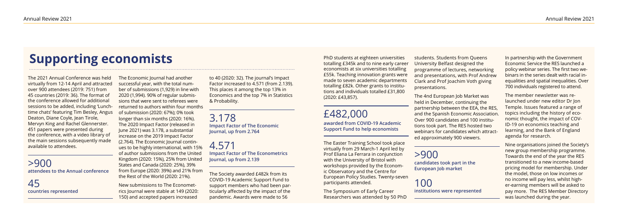## **Supporting economists**

The 2021 Annual Conference was held virtually from 12-14 April and attracted over 900 attendees (2019: 751) from 45 countries (2019: 36). The format of the conference allowed for additional sessions to be added, including 'Lunchtime chats' featuring Tim Besley, Angus Deaton, Diane Coyle, Jean Tirole, Mervyn King and Rachel Glennerster. 451 papers were presented during the conference, with a video library of the main sessions subsequently made available to attendees.

>900 **attendees to the Annual conference**

45 **countries represented** The Economic Journal had another successful year, with the total number of submissions (1,929) in line with 2020 (1,994). 90% of regular submissions that were sent to referees were returned to authors within four months of submission (2020: 67%); 0% took longer than six months (2020: 16%). The 2020 Impact Factor (released in June 2021) was 3.178, a substantial increase on the 2019 Impact Factor (2.764). The Economic Journal continues to be highly international, with 15% of author submissions from the United Kingdom (2020: 15%), 25% from United States and Canada (2020: 25%), 39%

from Europe (2020: 39%) and 21% from

the Rest of the World (2020: 21%). New submissions to The Econometrics Journal were stable at 149 (2020: 150) and accepted papers increased

to 40 (2020: 32). The journal's Impact Factor increased to 4.571 (from 2.139). This places it among the top 13% in Economics and the top 7% in Statistics & Probability.

3.178 **Impact Factor of The Economic Journal, up from 2.764**

4.571 **Impact Factor of The Econometrics Journal, up from 2.139**

The Society awarded £482k from its COVID-19 Academic Support Fund to support members who had been particularly affected by the impact of the pandemic. Awards were made to 56

PhD students at eighteen universities totalling £345k and to nine early career economists at six universities totalling £55k. Teaching innovation grants were made to seven academic departments totalling £82k. Other grants to institutions and individuals totalled £31,800 (2020: £43,857).

#### £482,000

**awarded from COVID-19 Academic Support Fund to help economists**

The Easter Training School took place virtually from 29 March-1 April led by Prof Eliana La Ferrara in conjunction with the University of Bristol with workshops provided by the Economic Observatory and the Centre for European Policy Studies. Twenty-seven participants attended.

The Symposium of Early Career Researchers was attended by 50 PhD

students. Students from Queens University Belfast designed the programme of lectures, networking and presentations, with Prof Andrew Clark and Prof Joachim Voth giving presentations.

The 4nd European Job Market was held in December, continuing the partnership between the EEA, the RES, and the Spanish Economic Association. Over 900 candidates and 100 institutions took part. The RES hosted two webinars for candidates which attracted approximately 900 viewers.

>900

**candidates took part in the European Job market**

#### 100

**institutions were represented**

In partnership with the Government Economic Service the RES launched a policy webinar series. The first two webinars in the series dealt with racial inequalities and spatial inequalities. Over 700 individuals registered to attend.

The member newsletter was relaunched under new editor Dr Jon Temple. Issues featured a range of topics including the history of economic thought, the impact of COV-ID-19 on economics teaching and learning, and the Bank of England agenda for research.

Nine organisations joined the Society's new group membership programme. Towards the end of the year the RES transitioned to a new income-based pricing model for membership. Under the model, those on low incomes or no income will pay less, whilst higher-earning members will be asked to pay more. The RES Member Directory was launched during the year.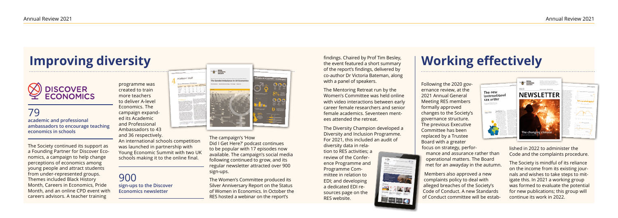# **Improving diversity**<br> **Example 2018 Chaired by Prof Tim Besley,**<br>
of the report's findings, delivered by  $\sum_{\text{the event features } a \text{ short summany} \atop \text{of the report's findings, delivered by } b}$  Working effectively

# **DISCOVER**<br>ECONOMICS





79 **academic and professional ambassadors to encourage teaching economics in schools**

The Society continued its support as a Founding Partner for Discover Economics, a campaign to help change perceptions of economics among young people and attract students from under-represented groups. Themes included Black History Month, Careers in Economics, Pride Month, and an online CPD event with careers advisors. A teacher training

programme was created to train more teachers to deliver A-level Economics. The campaign expanded its Academic and Professional Ambassadors to 43 and 36 respectively.

An international schools competition was launched in partnership with Young Economic Summit with two UK schools making it to the online final.

The Diversity Champion developed a Diversity and Inclusion Programme. For 2021, this included an audit of diversity data in relation to RES activities; a review of the Conference Programme and Programme Committee in relation to EDI; and developing a dedicated EDI re- $-4.12M$ sources page on the RES website.  $\blacksquare$   $\blacksquare$   $\blacksquare$   $\blacksquare$ 

900 **sign-ups to the Discover Economics newsletter**



The campaign's 'How Did I Get Here?' podcast continues to be popular with 17 episodes now available. The campaign's social media following continued to grow, and its regular newsletter attracted over 900 sign-ups.

The Women's Committee produced its Silver Anniversary Report on the Status of Women in Economics. In October the RES hosted a webinar on the report's

findings. Chaired by Prof Tim Besley, the event featured a short summary of the report's findings, delivered by co-author Dr Victoria Bateman, along with a panel of speakers.

The Mentoring Retreat run by the Women's Committee was held online with video interactions between early career female researchers and senior female academics. Seventeen mentees attended the retreat.

Following the 2020 governance review, at the 2021 Annual General Meeting RES members formally approved changes to the Society's governance structure. The previous Executive Committee has been replaced by a Trustee Board with a greater focus on strategy, perfor-

mance and assurance rather than operational matters. The Board met for an awayday in the autumn.

Members also approved a new complaints policy to deal with alleged breaches of the Society's Code of Conduct. A new Standards of Conduct committee will be established in 2022 to administer the Code and the complaints procedure.

The Society is mindful of its reliance on the income from its existing journals and wishes to take steps to mitigate this. In 2021 a working group was formed to evaluate the potential for new publications; this group will continue its work in 2022.